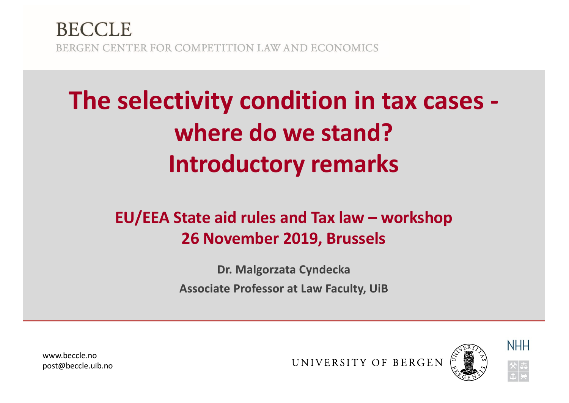#### **BECCLE** BERGEN CENTER FOR COMPETITION LAW AND ECONOMICS

# **The selectivity condition in tax cases where do we stand? Introductory remarks**

#### **EU/EEA State aid rules and Tax law – workshop 26 November 2019, Brussels**

**Dr. Malgorzata Cyndecka Associate Professor at Law Faculty, UiB**

www.beccle.no post@beccle.uib.no

UNIVERSITY OF BERGEN



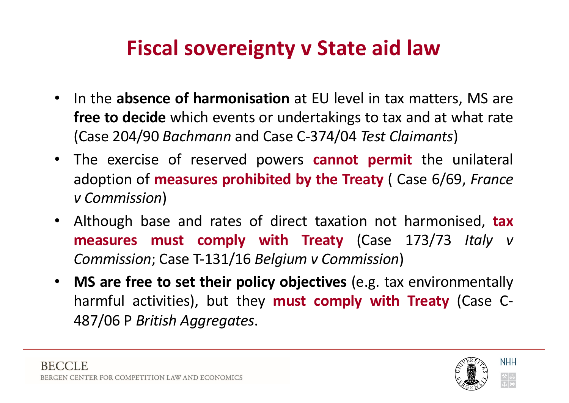#### **Fiscal sovereignty v State aid law**

- In the **absence of harmonisation** at EU level in tax matters, MS are **free to decide** which events or undertakings to tax and at what rate (Case 204/90 *Bachmann* and Case C-374/04 *Test Claimants*)
- The exercise of reserved powers **cannot permit** the unilateral adoption of **measures prohibited by the Treaty** ( Case 6/69, *France v Commission*)
- Although base and rates of direct taxation not harmonised, **tax measures must comply with Treaty** (Case 173/73 *Italy v Commission*; Case T-131/16 *Belgium v Commission*)
- **MS are free to set their policy objectives** (e.g. tax environmentally harmful activities), but they **must comply with Treaty** (Case C-487/06 P *British Aggregates*.

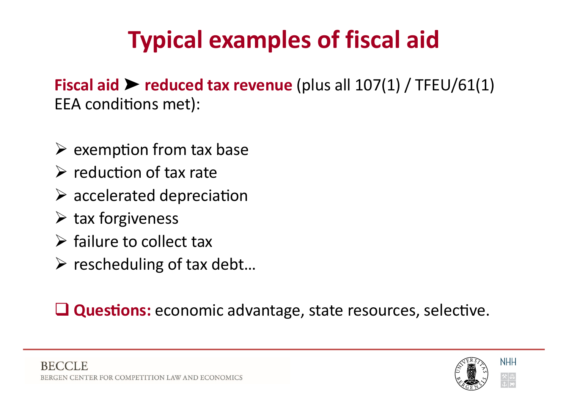# **Typical examples of fiscal aid**

**Fiscal aid** ➤ **reduced tax revenue** (plus all 107(1) / TFEU/61(1) EEA conditions met):

- $\triangleright$  exemption from tax base
- $\triangleright$  reduction of tax rate
- $\triangleright$  accelerated depreciation
- $\triangleright$  tax forgiveness
- $\triangleright$  failure to collect tax
- $\triangleright$  rescheduling of tax debt...

**Questions:** economic advantage, state resources, selective.



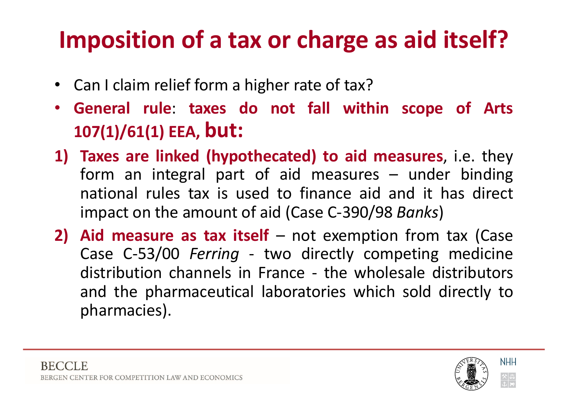## **Imposition of a tax or charge as aid itself?**

- Can I claim relief form a higher rate of tax?
- **General rule**: **taxes do not fall within scope of Arts 107(1)/61(1) EEA, but:**
- **1) Taxes are linked (hypothecated) to aid measures**, i.e. they form an integral part of aid measures – under binding national rules tax is used to finance aid and it has direct impact on the amount of aid (Case C-390/98 *Banks*)
- **2) Aid measure as tax itself** not exemption from tax (Case Case C-53/00 *Ferring* - two directly competing medicine distribution channels in France - the wholesale distributors and the pharmaceutical laboratories which sold directly to pharmacies).

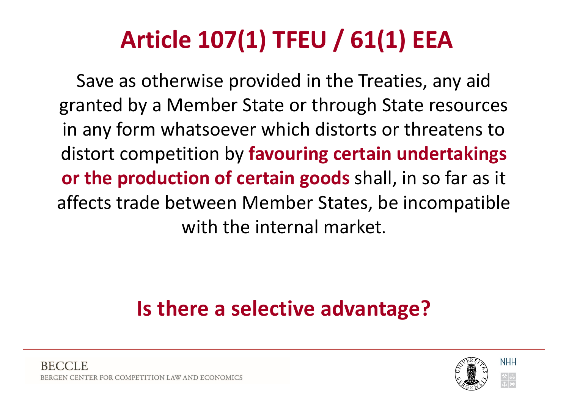# **Article 107(1) TFEU / 61(1) EEA**

Save as otherwise provided in the Treaties, any aid granted by a Member State or through State resources in any form whatsoever which distorts or threatens to distort competition by **favouring certain undertakings or the production of certain goods** shall, in so far as it affects trade between Member States, be incompatible with the internal market.

#### **Is there a selective advantage?**

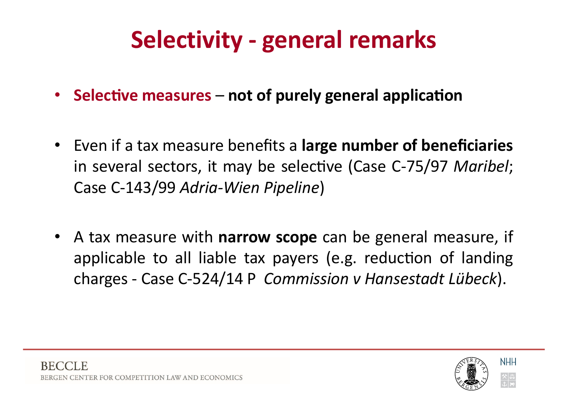## **Selectivity - general remarks**

- Selective measures not of purely general application
- Even if a tax measure benefits a **large number of beneficiaries** in several sectors, it may be selective (Case C-75/97 Maribel; Case C-143/99 *Adria-Wien Pipeline*)
- A tax measure with **narrow scope** can be general measure, if applicable to all liable tax payers (e.g. reduction of landing charges - Case C-524/14 P *Commission v Hansestadt Lübeck*).

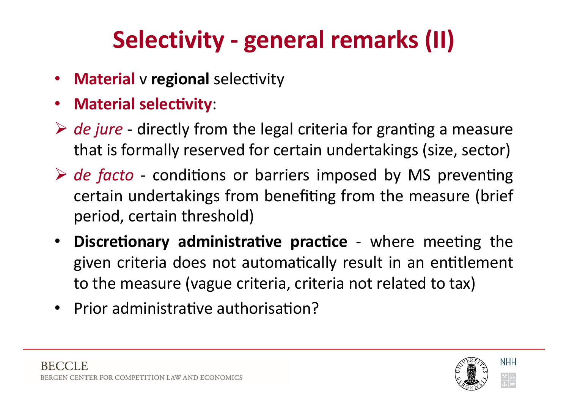# **Selectivity - general remarks (II)**

- **Material** v regional selectivity
- **Material selectivity:**
- $\triangleright$  *de jure* directly from the legal criteria for granting a measure that is formally reserved for certain undertakings (size, sector)
- **► de facto** conditions or barriers imposed by MS preventing certain undertakings from benefiting from the measure (brief period, certain threshold)
- **Discretionary administrative practice** where meeting the given criteria does not automatically result in an entitlement to the measure (vague criteria, criteria not related to tax)
- Prior administrative authorisation?

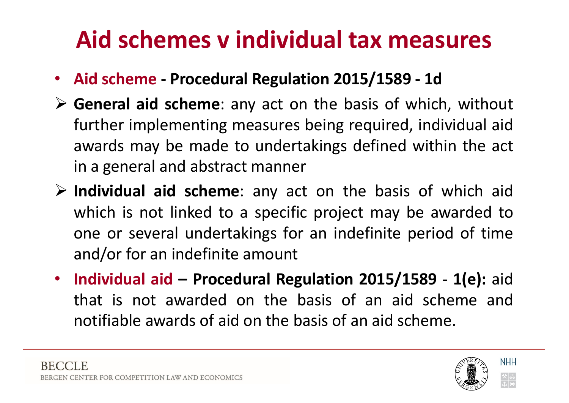### **Aid schemes v individual tax measures**

- **Aid scheme - Procedural Regulation 2015/1589 - 1d**
- Ø **General aid scheme**: any act on the basis of which, without further implementing measures being required, individual aid awards may be made to undertakings defined within the act in a general and abstract manner
- Ø **Individual aid scheme**: any act on the basis of which aid which is not linked to a specific project may be awarded to one or several undertakings for an indefinite period of time and/or for an indefinite amount
- **Individual aid – Procedural Regulation 2015/1589 1(e):** aid that is not awarded on the basis of an aid scheme and notifiable awards of aid on the basis of an aid scheme.

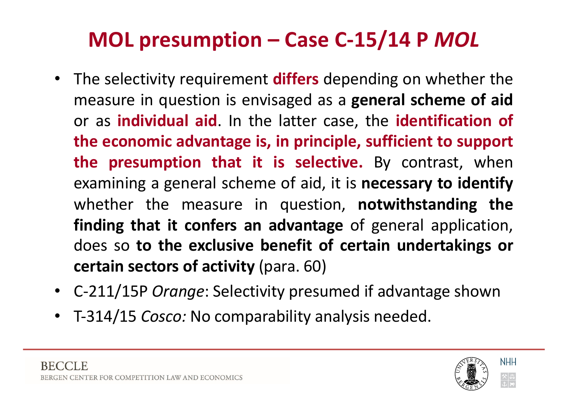#### **MOL presumption – Case C-15/14 P** *MOL*

- The selectivity requirement **differs** depending on whether the measure in question is envisaged as a **general scheme of aid** or as **individual aid**. In the latter case, the **identification of the economic advantage is, in principle, sufficient to support the presumption that it is selective.** By contrast, when examining a general scheme of aid, it is **necessary to identify** whether the measure in question, **notwithstanding the finding that it confers an advantage** of general application, does so **to the exclusive benefit of certain undertakings or certain sectors of activity** (para. 60)
- C-211/15P *Orange*: Selectivity presumed if advantage shown
- T-314/15 *Cosco:* No comparability analysis needed.

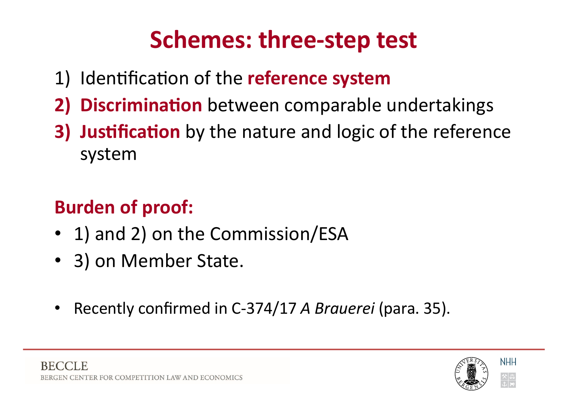## **Schemes: three-step test**

- 1) Identification of the **reference system**
- **2) Discrimination** between comparable undertakings
- **3) Justification** by the nature and logic of the reference system

#### **Burden of proof:**

- 1) and 2) on the Commission/ESA
- 3) on Member State.
- Recently confirmed in C-374/17 *A Brauerei* (para. 35).

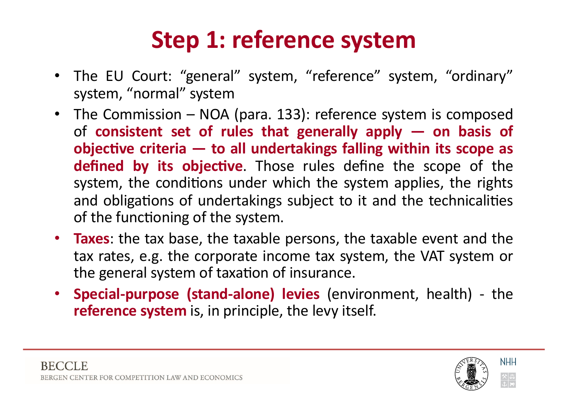## **Step 1: reference system**

- The EU Court: "general" system, "reference" system, "ordinary" system, "normal" system
- The Commission NOA (para. 133): reference system is composed of **consistent set of rules that generally apply — on basis of** *c***objective criteria – to all undertakings falling within its scope as defined by its objective**. Those rules define the scope of the system, the conditions under which the system applies, the rights and obligations of undertakings subject to it and the technicalities of the functioning of the system.
- **Taxes**: the tax base, the taxable persons, the taxable event and the tax rates, e.g. the corporate income tax system, the VAT system or the general system of taxation of insurance.
- **Special-purpose (stand-alone) levies** (environment, health) the **reference system** is, in principle, the levy itself.

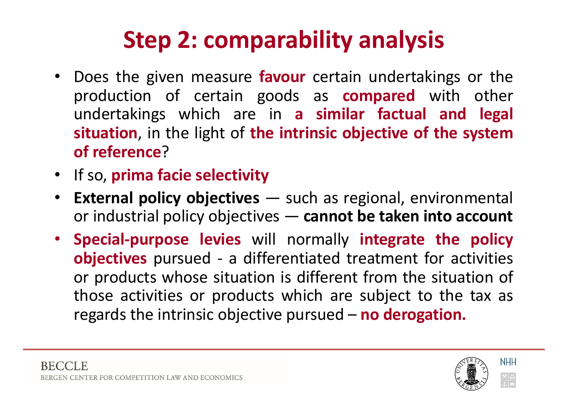## **Step 2: comparability analysis**

- Does the given measure **favour** certain undertakings or the production of certain goods as **compared** with other undertakings which are in **a similar factual and legal situation**, in the light of **the intrinsic objective of the system of reference**?
- If so, **prima facie selectivity**
- **External policy objectives** such as regional, environmental or industrial policy objectives — **cannot be taken into account**
- **Special-purpose levies** will normally **integrate the policy objectives** pursued - a differentiated treatment for activities or products whose situation is different from the situation of those activities or products which are subject to the tax as regards the intrinsic objective pursued – **no derogation.**

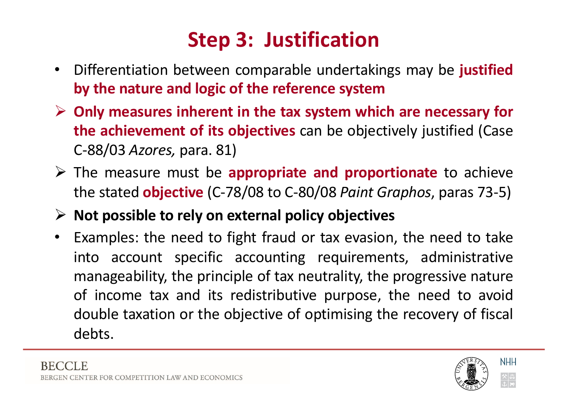#### **Step 3: Justification**

- Differentiation between comparable undertakings may be **justified by the nature and logic of the reference system**
- Ø **Only measures inherent in the tax system which are necessary for the achievement of its objectives** can be objectively justified (Case C-88/03 *Azores,* para. 81)
- Ø The measure must be **appropriate and proportionate** to achieve the stated **objective** (C-78/08 to C-80/08 *Paint Graphos*, paras 73-5)
- Ø **Not possible to rely on external policy objectives**
- Examples: the need to fight fraud or tax evasion, the need to take into account specific accounting requirements, administrative manageability, the principle of tax neutrality, the progressive nature of income tax and its redistributive purpose, the need to avoid double taxation or the objective of optimising the recovery of fiscal debts.

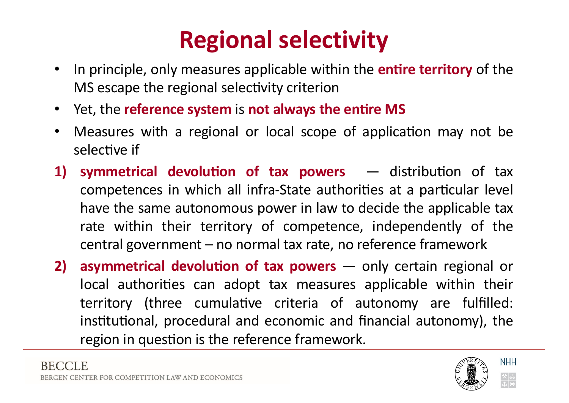## **Regional selectivity**

- In principle, only measures applicable within the **entire territory** of the MS escape the regional selectivity criterion
- $i$  Yet, the **reference system** is **not always the entire MS**
- Measures with a regional or local scope of application may not be selective if
- **1) symmetrical devolution of tax powers** distribution of tax competences in which all infra-State authorities at a particular level have the same autonomous power in law to decide the applicable tax rate within their territory of competence, independently of the central government – no normal tax rate, no reference framework
- **2) asymmetrical devolution of tax powers** only certain regional or local authorities can adopt tax measures applicable within their territory (three cumulative criteria of autonomy are fulfilled: institutional, procedural and economic and financial autonomy), the region in question is the reference framework.